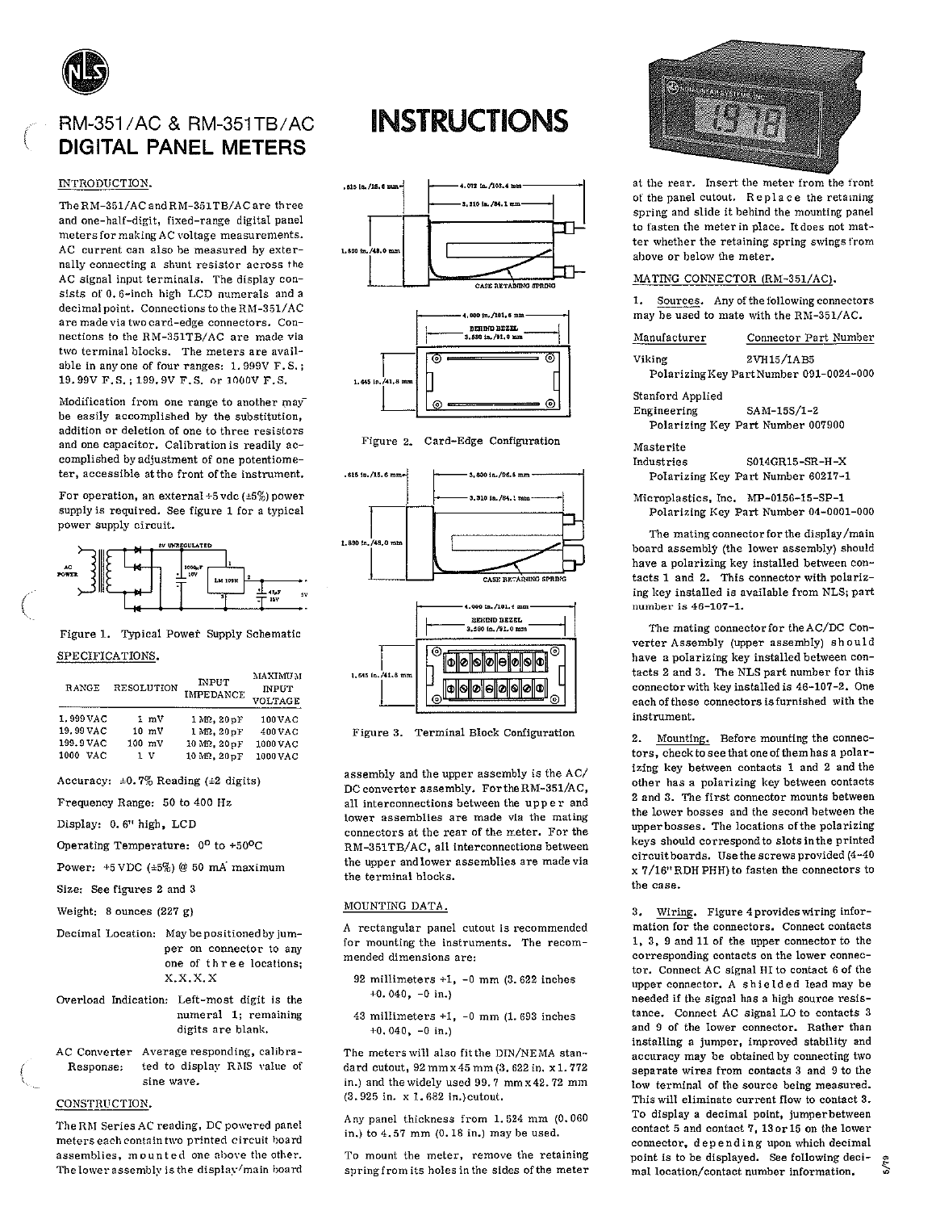

# RM-351/AC & RM-351TB/AC **DIGITAL PANEL METERS**

## INTRODUCTION.

The RM-351/AC and RM-351TB/AC are three and one-half-digit, fixed-range digital panel meters for making AC voltage measurements. AC current can also be measured by externally connecting a shunt resistor across the AC signal input terminals. The display consists of 0.6-inch high LCD numerals and a decimal point. Connections to the RM-351/AC are made via two card-edge connectors. Connections to the RM-351TB/AC are made via two terminal blocks. The meters are available in any one of four ranges: 1.999V F.S.: 19.99V F.S.; 199.9V F.S. or 1000V F.S.

Modification from one range to another may be easily accomplished by the substitution, addition or deletion of one to three resistors and one capacitor. Calibration is readily accomplished by adjustment of one potentiometer, accessible at the front of the instrument.

For operation, an external +5 vdc ( $\pm 5\%$ ) power supply is required. See figure 1 for a typical power supply circuit.



## Figure 1. Typical Power Supply Schematic SPECIFICATIONS.

| RANGE       | <b>RESOLUTION</b> | <b>INPUT</b><br><b>IMPEDANCE</b> | <b>MAXIMUM</b><br><b>INPUT</b><br>VOLTAGE |  |  |  |
|-------------|-------------------|----------------------------------|-------------------------------------------|--|--|--|
| 1.999 VAC   | $1 \, \text{mV}$  | 1 MR. 20 pF                      | 100 VAC                                   |  |  |  |
| 19.99 VAC   | $10 \text{ mV}$   | $1 M\Omega$ . $20 nF$            | 400 VAC                                   |  |  |  |
| 199.9 VAC   | $100 \text{ mV}$  | 10 MR. 20 pF                     | 1000 VAC                                  |  |  |  |
| 1000<br>VAC | ıv                | 10 MQ, 20 pF                     | 1000 VAC                                  |  |  |  |

Accuracy:  $\pm 0.7\%$  Reading ( $\pm 2$  digits)

- Frequency Range: 50 to 400 Hz Display: 0.6" high, LCD
- 
- Operating Temperature: 0° to +50°C
- Power:  $+5$  VDC  $(*5%)$  @ 50 mA maximum

Size: See figures 2 and 3

Weight:  $8$  ounces  $(227 g)$ 

- Decimal Location: May be positioned by jumper on connector to any one of three locations;  $X, X, X, X$
- Overload Indication: Left-most digit is the numeral 1; remaining digits are blank.
- AC Converter Average responding, calibrated to display RMS value of Response: sine wave.

### CONSTRUCTION.

The RM Series AC reading, DC powered panel meters each contain two printed circuit board assemblies, mounted one above the other. The lower assembly is the display/main board

# **INSTRUCTIONS**







Figure 3. Terminal Block Configuration

assembly and the upper assembly is the AC/ DC converter assembly. For the RM-351/AC, all interconnections between the upper and lower assemblies are made via the mating connectors at the rear of the meter. For the RM-351TB/AC, all interconnections between the upper and lower assemblies are made via the terminal blocks.

#### MOUNTING DATA.

A rectangular panel cutout is recommended for mounting the instruments. The recommended dimensions are:

- 92 millimeters  $+1$ ,  $-0$  mm (3.622 inches  $+0.040, -0$  in.)
- 43 millimeters  $+1$ ,  $-0$  mm (1.693 inches  $+0.040$ ,  $-0$  in.)

The meters will also fit the DIN/NEMA standard cutout, 92 mm x 45 mm (3. 622 in. x 1. 772 in.) and the widely used 99.7 mm x 42.72 mm (3.925 in. x 1.682 in.) cutout.

Any panel thickness from 1.524 mm (0.060 in.) to 4.57 mm (0.18 in.) may be used.

To mount the meter, remove the retaining spring from its holes in the sides of the meter



at the rear. Insert the meter from the front of the panel cutout. Replace the retaining spring and slide it behind the mounting panel to fasten the meter in place. It does not matter whether the retaining spring swings from above or below the meter.

#### MATING CONNECTOR (RM-351/AC).

Sources. Any of the following connectors  $1.7$ may be used to mate with the RM-351/AC.

| Manufacturer     | Connector Part Number                                 |
|------------------|-------------------------------------------------------|
| Viking           | 2VH15/1AB5<br>Polarizing Key Part Number 091-0024-000 |
| Stanford Applied |                                                       |
| Engineering      | SAM-15S/1-2                                           |
|                  | Polarizing Key Part Number 007900                     |
| Masterite        |                                                       |
| Industries       | S014GR15-SR-H-X                                       |
|                  | Polarizing Key Part Number 60217-1                    |
|                  |                                                       |

Microplastics, Inc. MP-0156-15-SP-1 Polarizing Key Part Number 04-0001-000

The mating connector for the display/main board assembly (the lower assembly) should have a polarizing key installed between contacts 1 and 2. This connector with polarizing key installed is available from NLS; part number is 46-107-1.

The mating connector for the AC/DC Converter Assembly (upper assembly) should have a polarizing key installed between contacts 2 and 3. The NLS part number for this connector with key installed is 46-107-2. One each of these connectors is furnished with the instrument.

2. Mounting. Before mounting the connectors, check to see that one of them has a polarizing key between contacts 1 and 2 and the other has a polarizing key between contacts 2 and 3. The first connector mounts between the lower bosses and the second between the upper bosses. The locations of the polarizing keys should correspond to slots in the printed circuit boards. Use the screws provided (4-40 x 7/16" RDH PHH) to fasten the connectors to the case.

Wiring. Figure 4 provides wiring infor- $3.$ mation for the connectors. Connect contacts 1, 3, 9 and 11 of the upper connector to the corresponding contacts on the lower connector. Connect AC signal HI to contact 6 of the upper connector. A shielded lead may be needed if the signal has a high source resistance. Connect AC signal LO to contacts 3 and 9 of the lower connector. Rather than installing a jumper, improved stability and accuracy may be obtained by connecting two separate wires from contacts 3 and 9 to the low terminal of the source being measured. This will eliminate current flow to contact 3. To display a decimal point, jumperbetween contact 5 and contact 7, 13 or 15 on the lower connector, depending upon which decimal point is to be displayed. See following decimal location/contact number information.